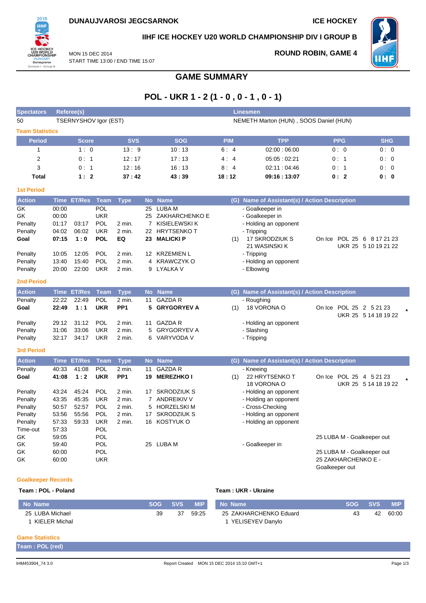

#### **IIHF ICE HOCKEY U20 WORLD CHAMPIONSHIP DIV I GROUP B**

MON 15 DEC 2014 START TIME 13:00 / END TIME 15:07

# **ROUND ROBIN, GAME 4**



**GAME SUMMARY**

# **POL - UKR 1 - 2 (1 - 0 , 0 - 1 , 0 - 1)**

| <b>Spectators</b>                                               | <b>Referee(s)</b><br><b>Linesmen</b>               |                                           |                                                             |                                                    |                                       |                                                                                                |            |                                                                                                                      |                                                                                                   |                      |
|-----------------------------------------------------------------|----------------------------------------------------|-------------------------------------------|-------------------------------------------------------------|----------------------------------------------------|---------------------------------------|------------------------------------------------------------------------------------------------|------------|----------------------------------------------------------------------------------------------------------------------|---------------------------------------------------------------------------------------------------|----------------------|
| 50                                                              |                                                    | TSERNYSHOV Igor (EST)                     |                                                             |                                                    |                                       |                                                                                                |            | NEMETH Marton (HUN), SOOS Daniel (HUN)                                                                               |                                                                                                   |                      |
| <b>Team Statistics</b>                                          |                                                    |                                           |                                                             |                                                    |                                       |                                                                                                |            |                                                                                                                      |                                                                                                   |                      |
| <b>Period</b>                                                   |                                                    | <b>Score</b>                              |                                                             | <b>SVS</b>                                         |                                       | <b>SOG</b>                                                                                     | <b>PIM</b> | <b>TPP</b>                                                                                                           | <b>PPG</b>                                                                                        | <b>SHG</b>           |
| $\mathbf 1$                                                     |                                                    | 1:0                                       |                                                             | 13:9                                               |                                       | 10:13                                                                                          | 6:4        | 02:00:06:00                                                                                                          | 0:0                                                                                               | 0:0                  |
| $\overline{2}$                                                  |                                                    | 0:1                                       |                                                             | 12:17                                              |                                       | 17:13                                                                                          | 4:4        | 05:05:02:21                                                                                                          | 0:1                                                                                               | 0:0                  |
| 3                                                               |                                                    | 0:1                                       |                                                             | 12:16                                              |                                       | 16:13                                                                                          | 8:4        | 02:11:04:46                                                                                                          | 0:1                                                                                               | 0:0                  |
| <b>Total</b>                                                    |                                                    | 1:2                                       |                                                             | 37:42                                              |                                       | 43:39                                                                                          | 18:12      | 09:16:13:07                                                                                                          | 0:2                                                                                               | 0:0                  |
| <b>1st Period</b>                                               |                                                    |                                           |                                                             |                                                    |                                       |                                                                                                |            |                                                                                                                      |                                                                                                   |                      |
| <b>Action</b>                                                   |                                                    | Time ET/Res                               | <b>Team</b>                                                 | <b>Type</b>                                        |                                       | No Name                                                                                        |            | (G) Name of Assistant(s) / Action Description                                                                        |                                                                                                   |                      |
| GK<br>GK<br>Penalty<br>Penalty<br>Goal                          | 00:00<br>00:00<br>01:17<br>04:02<br>07:15          | 03:17<br>06:02<br>1:0                     | POL<br><b>UKR</b><br><b>POL</b><br><b>UKR</b><br><b>POL</b> | 2 min.<br>2 min.<br>EQ                             | 25<br>22<br>23                        | <b>LUBA M</b><br>25 ZAKHARCHENKO E<br>7 KISIELEWSKI K<br><b>HRYTSENKOT</b><br><b>MALICKI P</b> | (1)        | - Goalkeeper in<br>- Goalkeeper in<br>- Holding an opponent<br>- Tripping<br>17 SKRODZIUK S<br>21 WASINSKI K         | On Ice POL 25 6 8 17 21 23                                                                        | UKR 25 5 10 19 21 22 |
| Penalty<br>Penalty<br>Penalty<br><b>2nd Period</b>              | 10:05<br>13:40<br>20:00                            | 12:05<br>15:40<br>22:00                   | POL<br>POL<br><b>UKR</b>                                    | $2$ min.<br>$2$ min.<br>2 min.                     | 12<br>4<br>9                          | <b>KRZEMIEN L</b><br><b>KRAWCZYK O</b><br>LYALKA V                                             |            | - Tripping<br>- Holding an opponent<br>- Elbowing                                                                    |                                                                                                   |                      |
| <b>Action</b>                                                   |                                                    | <b>Time ET/Res</b>                        | <b>Team</b>                                                 | <b>Type</b>                                        |                                       | No Name                                                                                        |            | (G) Name of Assistant(s) / Action Description                                                                        |                                                                                                   |                      |
| Penalty<br>Goal                                                 | 22:22<br>22:49                                     | 22:49<br>1:1                              | <b>POL</b><br><b>UKR</b>                                    | 2 min.<br>PP <sub>1</sub>                          | 11<br>5                               | <b>GAZDA R</b><br><b>GRYGORYEV A</b>                                                           | (1)        | - Roughing<br>18 VORONA O                                                                                            | On Ice POL 25 2 5 21 23                                                                           | UKR 25 5 14 18 19 22 |
| Penalty<br>Penalty<br>Penalty                                   | 29:12<br>31:06<br>32:17                            | 31:12<br>33:06<br>34:17                   | POL<br><b>UKR</b><br><b>UKR</b>                             | $2$ min.<br>$2$ min.<br>2 min.                     | 11<br>5<br>6                          | <b>GAZDA R</b><br><b>GRYGORYEV A</b><br>VARYVODA V                                             |            | - Holding an opponent<br>- Slashing<br>- Tripping                                                                    |                                                                                                   |                      |
| <b>3rd Period</b>                                               |                                                    |                                           |                                                             |                                                    |                                       |                                                                                                |            |                                                                                                                      |                                                                                                   |                      |
| <b>Action</b>                                                   |                                                    | <b>Time ET/Res</b>                        | <b>Team</b>                                                 | <b>Type</b>                                        |                                       | No Name                                                                                        |            | (G) Name of Assistant(s) / Action Description                                                                        |                                                                                                   |                      |
| Penalty<br>Goal                                                 | 40:33<br>41:08                                     | 41:08<br>1:2                              | POL<br><b>UKR</b>                                           | 2 min.<br>PP <sub>1</sub>                          | 11<br>19                              | <b>GAZDA R</b><br><b>MEREZHKO I</b>                                                            | (1)        | - Kneeing<br>22 HRYTSENKO T<br>18 VORONA O                                                                           | On Ice POL 25 4 5 21 23                                                                           | UKR 25 5 14 18 19 22 |
| Penalty<br>Penalty<br>Penalty<br>Penalty<br>Penalty<br>Time-out | 43:24<br>43:35<br>50:57<br>53:56<br>57:33<br>57:33 | 45:24<br>45:35<br>52:57<br>55:56<br>59:33 | POL<br><b>UKR</b><br>POL<br><b>POL</b><br><b>UKR</b><br>POL | 2 min.<br>$2$ min.<br>2 min.<br>$2$ min.<br>2 min. | 17<br>$\overline{7}$<br>5<br>17<br>16 | <b>SKRODZIUK S</b><br>ANDREIKIV V<br><b>HORZELSKIM</b><br><b>SKRODZIUK S</b><br>KOSTYUK O      |            | - Holding an opponent<br>- Holding an opponent<br>- Cross-Checking<br>- Holding an opponent<br>- Holding an opponent |                                                                                                   |                      |
| GK<br>GK<br>GK<br>GK                                            | 59:05<br>59:40<br>60:00<br>60:00                   |                                           | <b>POL</b><br><b>POL</b><br><b>POL</b><br><b>UKR</b>        |                                                    |                                       | 25 LUBA M                                                                                      |            | - Goalkeeper in                                                                                                      | 25 LUBA M - Goalkeeper out<br>25 LUBA M - Goalkeeper out<br>25 ZAKHARCHENKO E -<br>Goalkeeper out |                      |

#### **Goalkeeper Records**

| Team: POL - Poland |    |         | Team: UKR - Ukraine |                        |         |    |            |  |  |  |
|--------------------|----|---------|---------------------|------------------------|---------|----|------------|--|--|--|
| No Name            |    | SOG SVS | <b>MIP</b>          | No Name                | SOG SVS |    | <b>MIP</b> |  |  |  |
| 25 LUBA Michael    | 39 | 37      | 59:25               | 25 ZAKHARCHENKO Eduard | 43      | 42 | 60:00      |  |  |  |
| KIELER Michal      |    |         |                     | YELISEYEV Danylo       |         |    |            |  |  |  |

#### **Game Statistics**

| Team: POL (red) |  |  |
|-----------------|--|--|
|                 |  |  |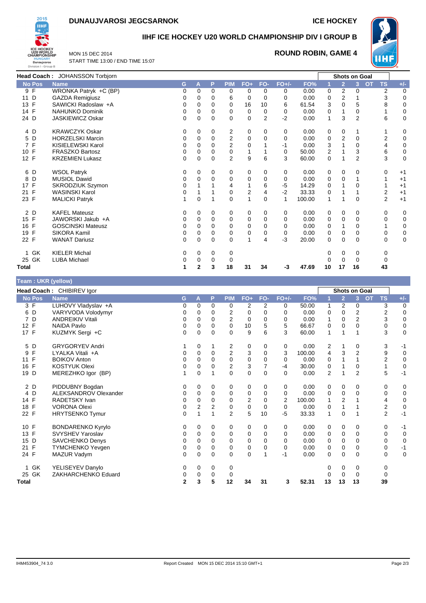# **DUNAUJVAROSI JEGCSARNOK ICE HOCKEY**



### **IIHF ICE HOCKEY U20 WORLD CHAMPIONSHIP DIV I GROUP B**

MON 15 DEC 2014 START TIME 13:00 / END TIME 15:07

#### **ROUND ROBIN, GAME 4**



|                   | Head Coach: JOHANSSON Torbjorn |   |          |             |                |                |                |          |        |                         |                | <b>Shots on Goal</b> |                        |             |
|-------------------|--------------------------------|---|----------|-------------|----------------|----------------|----------------|----------|--------|-------------------------|----------------|----------------------|------------------------|-------------|
| <b>No Pos</b>     | <b>Name</b>                    | G | А        | P           | <b>PIM</b>     | $FO+$          | FO-            | $FO+/-$  | FO%    |                         | $\overline{2}$ | 3                    | <b>OT</b><br><b>TS</b> | $+/-$       |
| 9 F               | WRONKA Patryk +C (BP)          | 0 | 0        | 0           | 0              | 0              | 0              | 0        | 0.00   | 0                       | 2              | 0                    | $\overline{2}$         | 0           |
| D<br>11           | <b>GAZDA Remigiusz</b>         | 0 | 0        | 0           | 6              | $\mathbf 0$    | 0              | 0        | 0.00   | 0                       | 2              |                      | 3                      | $\mathbf 0$ |
| 13 F              | SAWICKI Radoslaw +A            | 0 | 0        | 0           | 0              | 16             | 10             | 6        | 61.54  | 3                       | 0              | 5                    | 8                      | 0           |
| 14 F              | <b>NAHUNKO Dominik</b>         | 0 | 0        | 0           | 0              | 0              | 0              | 0        | 0.00   | 0                       |                | 0                    |                        | 0           |
| 24 D              | <b>JASKIEWICZ Oskar</b>        | 0 | 0        | $\Omega$    | 0              | $\Omega$       | $\overline{2}$ | $-2$     | 0.00   | 1                       | 3              | $\overline{2}$       | 6                      | $\mathbf 0$ |
| 4 D               | <b>KRAWCZYK Oskar</b>          | 0 | 0        | 0           | 2              | 0              | 0              | 0        | 0.00   | 0                       | 0              | 1                    |                        | 0           |
| 5 D               | <b>HORZELSKI Marcin</b>        | 0 | 0        | 0           | $\overline{2}$ | $\mathbf 0$    | 0              | 0        | 0.00   | 0                       | $\overline{2}$ | 0                    | 2                      | 0           |
| $\mathsf{F}$<br>7 | KISIELEWSKI Karol              | 0 | $\Omega$ | 0           | $\overline{2}$ | $\Omega$       |                | -1       | 0.00   | 3                       |                | 0                    | 4                      | 0           |
| 10 F              | <b>FRASZKO Bartosz</b>         | 0 | 0        | 0           | 0              | 1              |                | 0        | 50.00  | $\overline{\mathbf{c}}$ |                | 3                    | 6                      | $\mathbf 0$ |
| 12 F              | <b>KRZEMIEN Lukasz</b>         | 0 | 0        | 0           | $\overline{2}$ | 9              | 6              | 3        | 60.00  | $\mathbf 0$             |                | $\overline{2}$       | 3                      | 0           |
| 6<br>D            | <b>WSOL Patryk</b>             | 0 | 0        | 0           | 0              | 0              | 0              | 0        | 0.00   | 0                       | 0              | 0                    | 0                      | $+1$        |
| D<br>8            | <b>MUSIOL Dawid</b>            | 0 | $\Omega$ | $\Omega$    | $\Omega$       | $\mathbf 0$    | $\Omega$       | $\Omega$ | 0.00   | 0                       | 0              |                      |                        | $+1$        |
| 17 F              | SKRODZIUK Szymon               | 0 |          |             | 4              |                | 6              | -5       | 14.29  | 0                       |                | 0                    |                        | $+1$        |
| F<br>21           | <b>WASINSKI Karol</b>          | 0 |          |             | 0              | $\overline{2}$ | 4              | $-2$     | 33.33  | 0                       |                |                      | $\overline{2}$         | $+1$        |
| 23 F              | <b>MALICKI Patryk</b>          |   | 0        | 1           | 0              | $\mathbf{1}$   | $\mathbf 0$    |          | 100.00 | 1                       |                | 0                    | $\overline{2}$         | $+1$        |
| 2 D               | <b>KAFEL Mateusz</b>           | 0 | 0        | 0           | 0              | 0              | 0              | 0        | 0.00   | 0                       | 0              | 0                    | 0                      | 0           |
| 15 F              | JAWORSKI Jakub +A              | 0 | 0        | $\mathbf 0$ | 0              | $\mathbf 0$    | $\Omega$       | 0        | 0.00   | 0                       | 0              | 0                    | 0                      | $\mathbf 0$ |
| F<br>16           | <b>GOSCINSKI Mateusz</b>       | 0 | 0        | 0           | 0              | $\Omega$       | 0              | 0        | 0.00   | 0                       |                | 0                    |                        | 0           |
| F<br>19           | SIKORA Kamil                   | 0 | 0        | 0           | 0              | 0              | 0              | 0        | 0.00   | 0                       | 0              | 0                    | 0                      | $\pmb{0}$   |
| 22 F              | <b>WANAT Dariusz</b>           | 0 | 0        | $\Omega$    | 0              | $\mathbf{1}$   | 4              | $-3$     | 20.00  | 0                       | 0              | 0                    | $\Omega$               | 0           |
| GK<br>1           | <b>KIELER Michal</b>           | 0 | 0        | 0           | 0              |                |                |          |        | 0                       | 0              | 0                    | 0                      |             |
| 25 GK             | <b>LUBA Michael</b>            |   | 0        | 0           | 0              |                |                |          |        | 0                       | 0              | 0                    | 0                      |             |
| Total             |                                |   | 2        | 3           | 18             | 31             | 34             | -3       | 47.69  | 10                      | 17             | 16                   | 43                     |             |

#### **Team : UKR (yellow)**

|                    | Head Coach: CHIBIREV Igor |                |             |             |                |                         |                |         |        |    |                | <b>Shots on Goal</b> |                        |             |
|--------------------|---------------------------|----------------|-------------|-------------|----------------|-------------------------|----------------|---------|--------|----|----------------|----------------------|------------------------|-------------|
| <b>No Pos</b>      | <b>Name</b>               | G              | A           | P           | <b>PIM</b>     | $FO+$                   | FO-            | $FO+/-$ | FO%    |    | $\overline{2}$ | 3 <sup>1</sup>       | <b>OT</b><br><b>TS</b> | $+/-$       |
| 3 F                | LUHOVY Vladyslav +A       | 0              | 0           | 0           | 0              | 2                       | 2              | 0       | 50.00  | 1  | 2              | 0                    | 3                      | 0           |
| 6 D                | VARYVODA Volodymyr        | 0              | 0           | 0           | 2              | 0                       | $\mathbf 0$    | 0       | 0.00   | 0  | $\mathbf 0$    | 2                    | 2                      | $\mathbf 0$ |
| 7 D                | <b>ANDREIKIV Vitali</b>   | 0              | 0           | $\Omega$    | $\overline{2}$ | 0                       | $\mathbf 0$    | 0       | 0.00   | 1  | $\mathbf 0$    | $\overline{2}$       | 3                      | $\pmb{0}$   |
| F<br>12            | <b>NAIDA Pavlo</b>        | 0              | 0           | 0           | 0              | 10                      | 5              | 5       | 66.67  | 0  | $\mathbf 0$    | 0                    | 0                      | $\mathbf 0$ |
| 17 F               | KUZMYK Sergi +C           | $\mathbf{0}$   | $\mathbf 0$ | $\mathbf 0$ | 0              | 9                       | 6              | 3       | 60.00  | 1  | 1              |                      | 3                      | $\mathbf 0$ |
| 5 D                | <b>GRYGORYEV Andri</b>    |                | 0           |             | 2              | 0                       | 0              | 0       | 0.00   | 2  |                | 0                    | 3                      | -1          |
| F<br>9             | LYALKA Vitali +A          | 0              | 0           | $\mathbf 0$ | 2              | 3                       | 0              | 3       | 100.00 | 4  | 3              | $\overline{2}$       | 9                      | $\mathbf 0$ |
| F<br>11            | <b>BOIKOV Anton</b>       | $\Omega$       | $\Omega$    | $\Omega$    | 0              | $\mathbf 0$             | $\mathbf 0$    | 0       | 0.00   | 0  |                |                      | $\overline{2}$         | $\mathbf 0$ |
| F<br>16            | <b>KOSTYUK Olexi</b>      | 0              | 0           | 0           | $\overline{2}$ | 3                       | $\overline{7}$ | $-4$    | 30.00  | 0  |                | 0                    |                        | 0           |
| 19 D               | MEREZHKO Igor (BP)        |                | 0           |             | 0              | 0                       | $\mathbf 0$    | 0       | 0.00   | 2  |                | $\overline{2}$       | 5                      | $-1$        |
| 2 D                | PIDDUBNY Bogdan           | 0              | 0           | 0           | 0              | 0                       | 0              | 0       | 0.00   | 0  | 0              | 0                    | 0                      | 0           |
| 4 D                | ALEKSANDROV Olexander     | 0              | 0           | $\mathbf 0$ | 0              | $\mathbf 0$             | $\mathbf 0$    | 0       | 0.00   | 0  | $\mathbf 0$    | 0                    | 0                      | $\mathbf 0$ |
| 14 F               | RADETSKY Ivan             | 0              | 0           | 0           | 0              | $\overline{\mathbf{c}}$ | $\Omega$       | 2       | 100.00 | 1  | $\overline{2}$ |                      | 4                      | 0           |
| $\mathsf{F}$<br>18 | <b>VORONA Olexi</b>       | 0              | 2           | 2           | 0              | 0                       | $\mathbf 0$    | 0       | 0.00   | 0  |                |                      | 2                      | $\mathbf 0$ |
| 22 F               | <b>HRYTSENKO Tymur</b>    | 0              |             |             | $\overline{2}$ | 5                       | 10             | $-5$    | 33.33  | 1  | $\Omega$       |                      | $\overline{2}$         | $-1$        |
| 10 F               | <b>BONDARENKO Kyrylo</b>  | 0              | 0           | 0           | 0              | 0                       | 0              | 0       | 0.00   | 0  | 0              | 0                    | 0                      | $-1$        |
| 13 F               | SVYSHEV Yaroslav          | 0              | 0           | 0           | 0              | 0                       | $\mathbf 0$    | 0       | 0.00   | 0  | $\mathbf 0$    | 0                    | 0                      | $\mathbf 0$ |
| 15 D               | <b>SAVCHENKO Denys</b>    | 0              | $\mathbf 0$ | $\mathbf 0$ | 0              | $\mathbf 0$             | $\mathbf 0$    | 0       | 0.00   | 0  | $\mathbf 0$    | 0                    | 0                      | $\pmb{0}$   |
| $\mathsf{F}$<br>21 | <b>TYMCHENKO Yevgen</b>   | 0              | 0           | 0           | 0              | 0                       | $\mathbf 0$    | 0       | 0.00   | 0  | 0              | 0                    | 0                      | $-1$        |
| 24 F               | MAZUR Vadym               | 0              | $\mathbf 0$ | $\mathbf 0$ | 0              | $\mathbf 0$             |                | $-1$    | 0.00   | 0  | $\mathbf 0$    | 0                    | 0                      | $\mathbf 0$ |
| 1 GK               | YELISEYEV Danylo          | 0              | 0           | 0           | 0              |                         |                |         |        |    | 0              | 0                    | 0                      |             |
| 25 GK              | ZAKHARCHENKO Eduard       | 0              | 0           | 0           | 0              |                         |                |         |        |    | $\Omega$       | 0                    | 0                      |             |
| Total              |                           | $\overline{2}$ | 3           | 5           | 12             | 34                      | 31             | 3       | 52.31  | 13 | 13             | 13                   | 39                     |             |